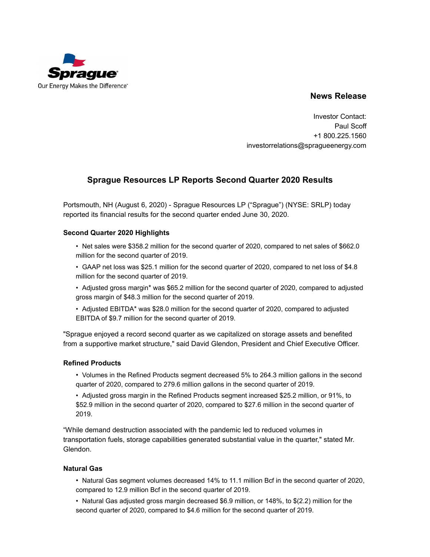

## **News Release**

Investor Contact: Paul Scoff +1 800.225.1560 investorrelations@spragueenergy.com

# **Sprague Resources LP Reports Second Quarter 2020 Results**

Portsmouth, NH (August 6, 2020) - Sprague Resources LP ("Sprague") (NYSE: SRLP) today reported its financial results for the second quarter ended June 30, 2020.

### **Second Quarter 2020 Highlights**

- Net sales were \$358.2 million for the second quarter of 2020, compared to net sales of \$662.0 million for the second quarter of 2019.
- GAAP net loss was \$25.1 million for the second quarter of 2020, compared to net loss of \$4.8 million for the second quarter of 2019.
- Adjusted gross margin\* was \$65.2 million for the second quarter of 2020, compared to adjusted gross margin of \$48.3 million for the second quarter of 2019.
- Adjusted EBITDA\* was \$28.0 million for the second quarter of 2020, compared to adjusted EBITDA of \$9.7 million for the second quarter of 2019.

"Sprague enjoyed a record second quarter as we capitalized on storage assets and benefited from a supportive market structure," said David Glendon, President and Chief Executive Officer.

#### **Refined Products**

• Volumes in the Refined Products segment decreased 5% to 264.3 million gallons in the second quarter of 2020, compared to 279.6 million gallons in the second quarter of 2019.

• Adjusted gross margin in the Refined Products segment increased \$25.2 million, or 91%, to \$52.9 million in the second quarter of 2020, compared to \$27.6 million in the second quarter of 2019.

"While demand destruction associated with the pandemic led to reduced volumes in transportation fuels, storage capabilities generated substantial value in the quarter," stated Mr. Glendon.

#### **Natural Gas**

- Natural Gas segment volumes decreased 14% to 11.1 million Bcf in the second quarter of 2020, compared to 12.9 million Bcf in the second quarter of 2019.
- Natural Gas adjusted gross margin decreased \$6.9 million, or 148%, to \$(2.2) million for the second quarter of 2020, compared to \$4.6 million for the second quarter of 2019.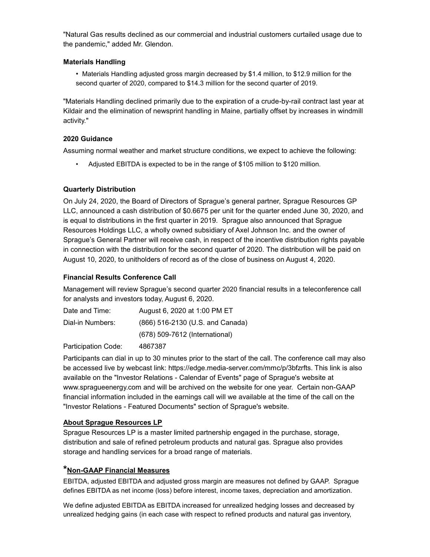"Natural Gas results declined as our commercial and industrial customers curtailed usage due to the pandemic," added Mr. Glendon.

### **Materials Handling**

• Materials Handling adjusted gross margin decreased by \$1.4 million, to \$12.9 million for the second quarter of 2020, compared to \$14.3 million for the second quarter of 2019.

"Materials Handling declined primarily due to the expiration of a crude-by-rail contract last year at Kildair and the elimination of newsprint handling in Maine, partially offset by increases in windmill activity."

### **2020 Guidance**

Assuming normal weather and market structure conditions, we expect to achieve the following:

• Adjusted EBITDA is expected to be in the range of \$105 million to \$120 million.

## **Quarterly Distribution**

On July 24, 2020, the Board of Directors of Sprague's general partner, Sprague Resources GP LLC, announced a cash distribution of \$0.6675 per unit for the quarter ended June 30, 2020, and is equal to distributions in the first quarter in 2019. Sprague also announced that Sprague Resources Holdings LLC, a wholly owned subsidiary of Axel Johnson Inc. and the owner of Sprague's General Partner will receive cash, in respect of the incentive distribution rights payable in connection with the distribution for the second quarter of 2020. The distribution will be paid on August 10, 2020, to unitholders of record as of the close of business on August 4, 2020.

## **Financial Results Conference Call**

Management will review Sprague's second quarter 2020 financial results in a teleconference call for analysts and investors today, August 6, 2020.

| Date and Time:   | August 6, 2020 at 1:00 PM ET     |
|------------------|----------------------------------|
| Dial-in Numbers: | (866) 516-2130 (U.S. and Canada) |
|                  | (678) 509-7612 (International)   |

Participation Code: 4867387

Participants can dial in up to 30 minutes prior to the start of the call. The conference call may also be accessed live by webcast link: https://edge.media-server.com/mmc/p/3bfzrfts. This link is also available on the "Investor Relations - Calendar of Events" page of Sprague's website at www.spragueenergy.com and will be archived on the website for one year. Certain non-GAAP financial information included in the earnings call will we available at the time of the call on the "Investor Relations - Featured Documents" section of Sprague's website.

## **About Sprague Resources LP**

Sprague Resources LP is a master limited partnership engaged in the purchase, storage, distribution and sale of refined petroleum products and natural gas. Sprague also provides storage and handling services for a broad range of materials.

## **\*Non-GAAP Financial Measures**

EBITDA, adjusted EBITDA and adjusted gross margin are measures not defined by GAAP. Sprague defines EBITDA as net income (loss) before interest, income taxes, depreciation and amortization.

We define adjusted EBITDA as EBITDA increased for unrealized hedging losses and decreased by unrealized hedging gains (in each case with respect to refined products and natural gas inventory,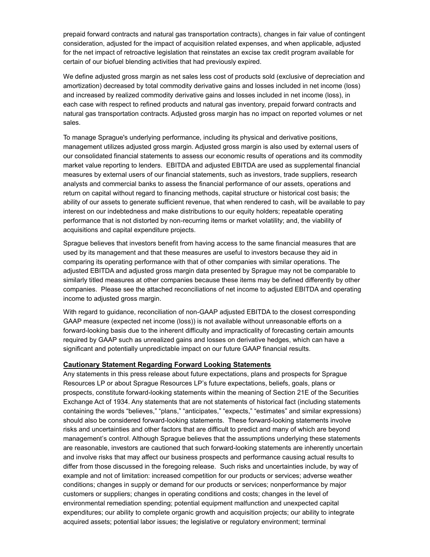prepaid forward contracts and natural gas transportation contracts), changes in fair value of contingent consideration, adjusted for the impact of acquisition related expenses, and when applicable, adjusted for the net impact of retroactive legislation that reinstates an excise tax credit program available for certain of our biofuel blending activities that had previously expired.

We define adjusted gross margin as net sales less cost of products sold (exclusive of depreciation and amortization) decreased by total commodity derivative gains and losses included in net income (loss) and increased by realized commodity derivative gains and losses included in net income (loss), in each case with respect to refined products and natural gas inventory, prepaid forward contracts and natural gas transportation contracts. Adjusted gross margin has no impact on reported volumes or net sales.

To manage Sprague's underlying performance, including its physical and derivative positions, management utilizes adjusted gross margin. Adjusted gross margin is also used by external users of our consolidated financial statements to assess our economic results of operations and its commodity market value reporting to lenders. EBITDA and adjusted EBITDA are used as supplemental financial measures by external users of our financial statements, such as investors, trade suppliers, research analysts and commercial banks to assess the financial performance of our assets, operations and return on capital without regard to financing methods, capital structure or historical cost basis; the ability of our assets to generate sufficient revenue, that when rendered to cash, will be available to pay interest on our indebtedness and make distributions to our equity holders; repeatable operating performance that is not distorted by non-recurring items or market volatility; and, the viability of acquisitions and capital expenditure projects.

Sprague believes that investors benefit from having access to the same financial measures that are used by its management and that these measures are useful to investors because they aid in comparing its operating performance with that of other companies with similar operations. The adjusted EBITDA and adjusted gross margin data presented by Sprague may not be comparable to similarly titled measures at other companies because these items may be defined differently by other companies. Please see the attached reconciliations of net income to adjusted EBITDA and operating income to adjusted gross margin.

With regard to guidance, reconciliation of non-GAAP adjusted EBITDA to the closest corresponding GAAP measure (expected net income (loss)) is not available without unreasonable efforts on a forward-looking basis due to the inherent difficulty and impracticality of forecasting certain amounts required by GAAP such as unrealized gains and losses on derivative hedges, which can have a significant and potentially unpredictable impact on our future GAAP financial results.

#### **Cautionary Statement Regarding Forward Looking Statements**

Any statements in this press release about future expectations, plans and prospects for Sprague Resources LP or about Sprague Resources LP's future expectations, beliefs, goals, plans or prospects, constitute forward-looking statements within the meaning of Section 21E of the Securities Exchange Act of 1934. Any statements that are not statements of historical fact (including statements containing the words "believes," "plans," "anticipates," "expects," "estimates" and similar expressions) should also be considered forward-looking statements. These forward-looking statements involve risks and uncertainties and other factors that are difficult to predict and many of which are beyond management's control. Although Sprague believes that the assumptions underlying these statements are reasonable, investors are cautioned that such forward-looking statements are inherently uncertain and involve risks that may affect our business prospects and performance causing actual results to differ from those discussed in the foregoing release. Such risks and uncertainties include, by way of example and not of limitation: increased competition for our products or services; adverse weather conditions; changes in supply or demand for our products or services; nonperformance by major customers or suppliers; changes in operating conditions and costs; changes in the level of environmental remediation spending; potential equipment malfunction and unexpected capital expenditures; our ability to complete organic growth and acquisition projects; our ability to integrate acquired assets; potential labor issues; the legislative or regulatory environment; terminal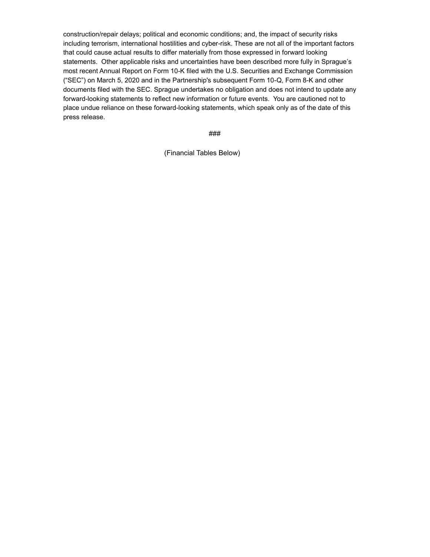construction/repair delays; political and economic conditions; and, the impact of security risks including terrorism, international hostilities and cyber-risk. These are not all of the important factors that could cause actual results to differ materially from those expressed in forward looking statements. Other applicable risks and uncertainties have been described more fully in Sprague's most recent Annual Report on Form 10-K filed with the U.S. Securities and Exchange Commission ("SEC") on March 5, 2020 and in the Partnership's subsequent Form 10-Q, Form 8-K and other documents filed with the SEC. Sprague undertakes no obligation and does not intend to update any forward-looking statements to reflect new information or future events. You are cautioned not to place undue reliance on these forward-looking statements, which speak only as of the date of this press release.

###

(Financial Tables Below)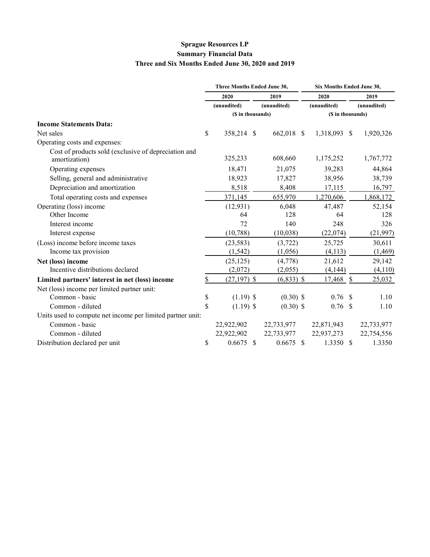# **Sprague Resources LP Summary Financial Data Three and Six Months Ended June 30, 2020 and 2019**

|                                                                       | Three Months Ended June 30, |  |              | Six Months Ended June 30, |      |             |  |  |  |
|-----------------------------------------------------------------------|-----------------------------|--|--------------|---------------------------|------|-------------|--|--|--|
|                                                                       | 2020                        |  | 2019         | 2020                      | 2019 |             |  |  |  |
|                                                                       | (unaudited)                 |  | (unaudited)  | (unaudited)               |      | (unaudited) |  |  |  |
|                                                                       | (\$ in thousands)           |  |              | (\$ in thousands)         |      |             |  |  |  |
| <b>Income Statements Data:</b>                                        |                             |  |              |                           |      |             |  |  |  |
| Net sales                                                             | \$<br>358,214 \$            |  | 662,018 \$   | 1,318,093 \$              |      | 1,920,326   |  |  |  |
| Operating costs and expenses:                                         |                             |  |              |                           |      |             |  |  |  |
| Cost of products sold (exclusive of depreciation and<br>amortization) | 325,233                     |  | 608,660      | 1,175,252                 |      | 1,767,772   |  |  |  |
| Operating expenses                                                    | 18,471                      |  | 21,075       | 39,283                    |      | 44,864      |  |  |  |
| Selling, general and administrative                                   | 18,923                      |  | 17,827       | 38,956                    |      | 38,739      |  |  |  |
| Depreciation and amortization                                         | 8,518                       |  | 8,408        | 17,115                    |      | 16,797      |  |  |  |
| Total operating costs and expenses                                    | 371,145                     |  | 655,970      | 1,270,606                 |      | 1,868,172   |  |  |  |
| Operating (loss) income                                               | (12, 931)                   |  | 6,048        | 47,487                    |      | 52,154      |  |  |  |
| Other Income                                                          | 64                          |  | 128          | 64                        |      | 128         |  |  |  |
| Interest income                                                       | 72                          |  | 140          | 248                       |      | 326         |  |  |  |
| Interest expense                                                      | (10, 788)                   |  | (10,038)     | (22,074)                  |      | (21, 997)   |  |  |  |
| (Loss) income before income taxes                                     | (23, 583)                   |  | (3, 722)     | 25,725                    |      | 30,611      |  |  |  |
| Income tax provision                                                  | (1, 542)                    |  | (1,056)      | (4,113)                   |      | (1, 469)    |  |  |  |
| Net (loss) income                                                     | (25, 125)                   |  | (4,778)      | 21,612                    |      | 29,142      |  |  |  |
| Incentive distributions declared                                      | (2,072)                     |  | (2,055)      | (4,144)                   |      | (4,110)     |  |  |  |
| Limited partners' interest in net (loss) income                       | $(27, 197)$ \$              |  | $(6,833)$ \$ | $17,468$ \$               |      | 25,032      |  |  |  |
| Net (loss) income per limited partner unit:                           |                             |  |              |                           |      |             |  |  |  |
| Common - basic                                                        | \$<br>$(1.19)$ \$           |  | $(0.30)$ \$  | $0.76$ \$                 |      | 1.10        |  |  |  |
| Common - diluted                                                      | \$<br>$(1.19)$ \$           |  | $(0.30)$ \$  | $0.76$ \$                 |      | 1.10        |  |  |  |
| Units used to compute net income per limited partner unit:            |                             |  |              |                           |      |             |  |  |  |
| Common - basic                                                        | 22,922,902                  |  | 22,733,977   | 22,871,943                |      | 22,733,977  |  |  |  |
| Common - diluted                                                      | 22,922,902                  |  | 22,733,977   | 22,937,273                |      | 22,754,556  |  |  |  |
| Distribution declared per unit                                        | \$<br>$0.6675$ \$           |  | $0.6675$ \$  | $1.3350$ \$               |      | 1.3350      |  |  |  |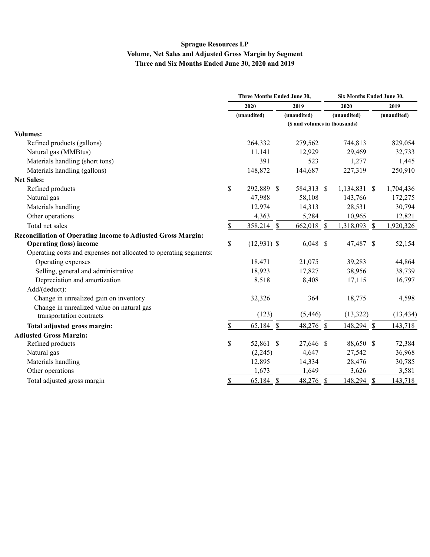# **Sprague Resources LP Volume, Net Sales and Adjusted Gross Margin by Segment Three and Six Months Ended June 30, 2020 and 2019**

|                                                                   | Three Months Ended June 30, |               |      |             |             | Six Months Ended June 30,     |             |           |  |  |
|-------------------------------------------------------------------|-----------------------------|---------------|------|-------------|-------------|-------------------------------|-------------|-----------|--|--|
|                                                                   | 2020<br>(unaudited)         |               | 2019 |             | 2020        |                               |             | 2019      |  |  |
|                                                                   |                             |               |      | (unaudited) | (unaudited) |                               | (unaudited) |           |  |  |
|                                                                   |                             |               |      |             |             | (\$ and volumes in thousands) |             |           |  |  |
| <b>Volumes:</b>                                                   |                             |               |      |             |             |                               |             |           |  |  |
| Refined products (gallons)                                        |                             | 264,332       |      | 279,562     |             | 744,813                       |             | 829,054   |  |  |
| Natural gas (MMBtus)                                              |                             | 11,141        |      | 12,929      |             | 29,469                        |             | 32,733    |  |  |
| Materials handling (short tons)                                   |                             | 391           |      | 523         |             | 1,277                         |             | 1,445     |  |  |
| Materials handling (gallons)                                      |                             | 148,872       |      | 144,687     |             | 227,319                       |             | 250,910   |  |  |
| <b>Net Sales:</b>                                                 |                             |               |      |             |             |                               |             |           |  |  |
| Refined products                                                  | \$                          | 292,889 \$    |      | 584,313 \$  |             | 1,134,831 \$                  |             | 1,704,436 |  |  |
| Natural gas                                                       |                             | 47,988        |      | 58,108      |             | 143,766                       |             | 172,275   |  |  |
| Materials handling                                                |                             | 12,974        |      | 14,313      |             | 28,531                        |             | 30,794    |  |  |
| Other operations                                                  |                             | 4,363         |      | 5,284       |             | 10,965                        |             | 12,821    |  |  |
| Total net sales                                                   | \$                          | $358,214$ \$  |      | 662,018 \$  |             | 1,318,093 \$                  |             | 1,920,326 |  |  |
| Reconciliation of Operating Income to Adiusted Gross Margin:      |                             |               |      |             |             |                               |             |           |  |  |
| <b>Operating (loss) income</b>                                    | \$                          | $(12,931)$ \$ |      | $6,048$ \$  |             | 47,487 \$                     |             | 52,154    |  |  |
| Operating costs and expenses not allocated to operating segments: |                             |               |      |             |             |                               |             |           |  |  |
| Operating expenses                                                |                             | 18,471        |      | 21,075      |             | 39,283                        |             | 44,864    |  |  |
| Selling, general and administrative                               |                             | 18,923        |      | 17,827      |             | 38,956                        |             | 38,739    |  |  |
| Depreciation and amortization                                     |                             | 8,518         |      | 8,408       |             | 17,115                        |             | 16,797    |  |  |
| Add/(deduct):                                                     |                             |               |      |             |             |                               |             |           |  |  |
| Change in unrealized gain on inventory                            |                             | 32,326        |      | 364         |             | 18,775                        |             | 4,598     |  |  |
| Change in unrealized value on natural gas                         |                             |               |      |             |             |                               |             |           |  |  |
| transportation contracts                                          |                             | (123)         |      | (5, 446)    |             | (13, 322)                     |             | (13, 434) |  |  |
| Total adjusted gross margin:                                      | \$                          | 65,184 \$     |      | $48,276$ \$ |             | 148,294 \$                    |             | 143,718   |  |  |
| <b>Adiusted Gross Margin:</b>                                     |                             |               |      |             |             |                               |             |           |  |  |
| Refined products                                                  | \$                          | 52,861 \$     |      | 27,646 \$   |             | 88,650 \$                     |             | 72,384    |  |  |
| Natural gas                                                       |                             | (2,245)       |      | 4,647       |             | 27,542                        |             | 36,968    |  |  |
| Materials handling                                                |                             | 12,895        |      | 14,334      |             | 28,476                        |             | 30,785    |  |  |
| Other operations                                                  |                             | 1,673         |      | 1,649       |             | 3,626                         |             | 3,581     |  |  |
| Total adjusted gross margin                                       | \$                          | 65,184 \$     |      | 48,276 \$   |             | 148,294 \$                    |             | 143,718   |  |  |